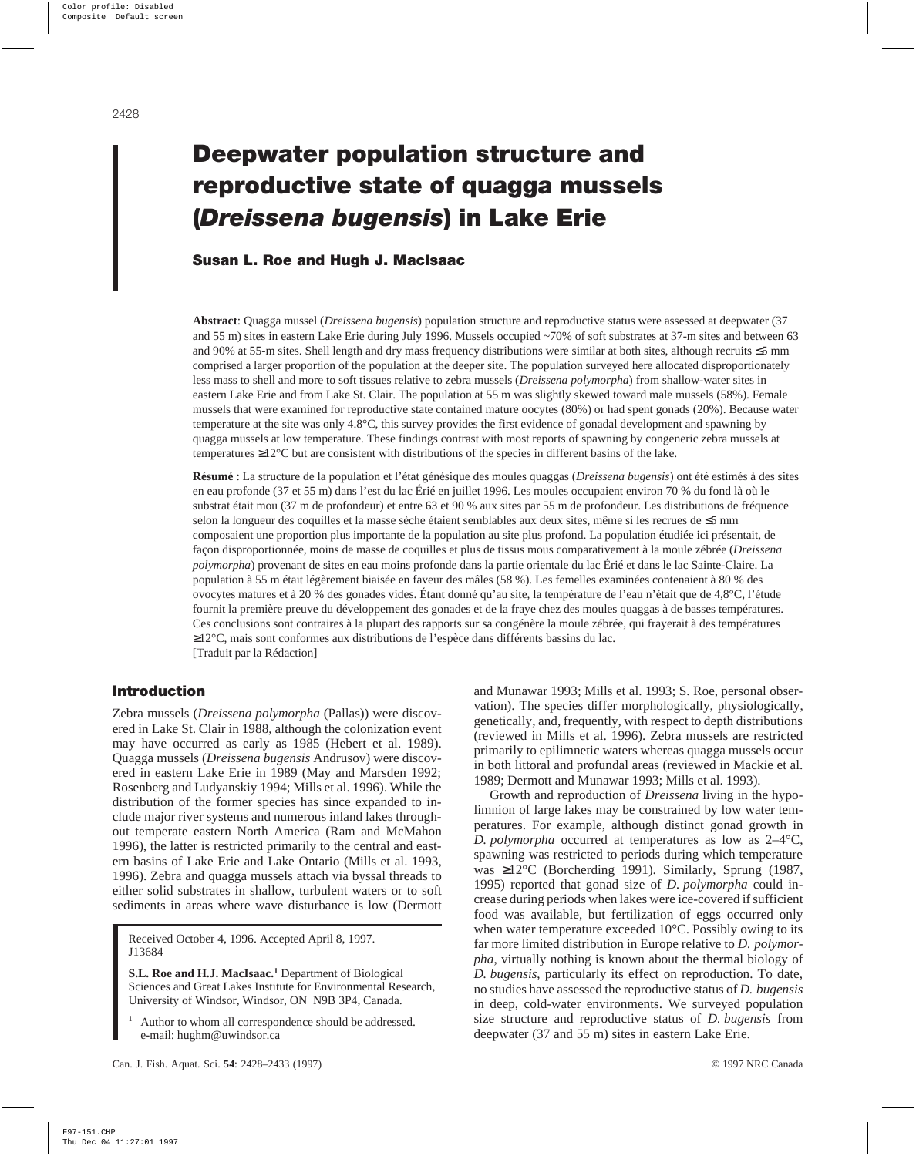# **Deepwater population structure and reproductive state of quagga mussels (***Dreissena bugensis***) in Lake Erie**

# **Susan L. Roe and Hugh J. MacIsaac**

**Abstract**: Quagga mussel (*Dreissena bugensis*) population structure and reproductive status were assessed at deepwater (37 and 55 m) sites in eastern Lake Erie during July 1996. Mussels occupied ~70% of soft substrates at 37-m sites and between 63 and 90% at 55-m sites. Shell length and dry mass frequency distributions were similar at both sites, although recruits ≤5 mm comprised a larger proportion of the population at the deeper site. The population surveyed here allocated disproportionately less mass to shell and more to soft tissues relative to zebra mussels (*Dreissena polymorpha*) from shallow-water sites in eastern Lake Erie and from Lake St. Clair. The population at 55 m was slightly skewed toward male mussels (58%). Female mussels that were examined for reproductive state contained mature oocytes (80%) or had spent gonads (20%). Because water temperature at the site was only 4.8°C, this survey provides the first evidence of gonadal development and spawning by quagga mussels at low temperature. These findings contrast with most reports of spawning by congeneric zebra mussels at temperatures ≥12°C but are consistent with distributions of the species in different basins of the lake.

**Résumé** : La structure de la population et l'état génésique des moules quaggas (*Dreissena bugensis*) ont été estimés à des sites en eau profonde (37 et 55 m) dans l'est du lac Érié en juillet 1996. Les moules occupaient environ 70 % du fond là où le substrat était mou (37 m de profondeur) et entre 63 et 90 % aux sites par 55 m de profondeur. Les distributions de fréquence selon la longueur des coquilles et la masse sèche étaient semblables aux deux sites, même si les recrues de ≤5 mm composaient une proportion plus importante de la population au site plus profond. La population étudiée ici présentait, de façon disproportionnée, moins de masse de coquilles et plus de tissus mous comparativement à la moule zébrée (*Dreissena polymorpha*) provenant de sites en eau moins profonde dans la partie orientale du lac Érié et dans le lac Sainte-Claire. La population à 55 m était légèrement biaisée en faveur des mâles (58 %). Les femelles examinées contenaient à 80 % des ovocytes matures et à 20 % des gonades vides. Étant donné qu'au site, la température de l'eau n'était que de 4,8°C, l'étude fournit la première preuve du développement des gonades et de la fraye chez des moules quaggas à de basses températures. Ces conclusions sont contraires à la plupart des rapports sur sa congénère la moule zébrée, qui frayerait à des températures ≥12°C, mais sont conformes aux distributions de l'espèce dans différents bassins du lac. [Traduit par la Rédaction]

# **Introduction**

Zebra mussels (*Dreissena polymorpha* (Pallas)) were discovered in Lake St. Clair in 1988, although the colonization event may have occurred as early as 1985 (Hebert et al. 1989). Quagga mussels (*Dreissena bugensis* Andrusov) were discovered in eastern Lake Erie in 1989 (May and Marsden 1992; Rosenberg and Ludyanskiy 1994; Mills et al. 1996). While the distribution of the former species has since expanded to include major river systems and numerous inland lakes throughout temperate eastern North America (Ram and McMahon 1996), the latter is restricted primarily to the central and eastern basins of Lake Erie and Lake Ontario (Mills et al. 1993, 1996). Zebra and quagga mussels attach via byssal threads to either solid substrates in shallow, turbulent waters or to soft sediments in areas where wave disturbance is low (Dermott

Received October 4, 1996. Accepted April 8, 1997. J13684

**S.L. Roe and H.J. MacIsaac.1** Department of Biological Sciences and Great Lakes Institute for Environmental Research, University of Windsor, Windsor, ON N9B 3P4, Canada.

Author to whom all correspondence should be addressed. e-mail: hughm@uwindsor.ca

and Munawar 1993; Mills et al. 1993; S. Roe, personal observation). The species differ morphologically, physiologically, genetically, and, frequently, with respect to depth distributions (reviewed in Mills et al. 1996). Zebra mussels are restricted primarily to epilimnetic waters whereas quagga mussels occur in both littoral and profundal areas (reviewed in Mackie et al. 1989; Dermott and Munawar 1993; Mills et al. 1993).

Growth and reproduction of *Dreissena* living in the hypolimnion of large lakes may be constrained by low water temperatures. For example, although distinct gonad growth in *D. polymorpha* occurred at temperatures as low as 2–4°C, spawning was restricted to periods during which temperature was ≥12°C (Borcherding 1991). Similarly, Sprung (1987, 1995) reported that gonad size of *D. polymorpha* could increase during periods when lakes were ice-covered if sufficient food was available, but fertilization of eggs occurred only when water temperature exceeded 10°C. Possibly owing to its far more limited distribution in Europe relative to *D. polymorpha*, virtually nothing is known about the thermal biology of *D. bugensis*, particularly its effect on reproduction. To date, no studies have assessed the reproductive status of *D. bugensis* in deep, cold-water environments. We surveyed population size structure and reproductive status of *D. bugensis* from deepwater (37 and 55 m) sites in eastern Lake Erie.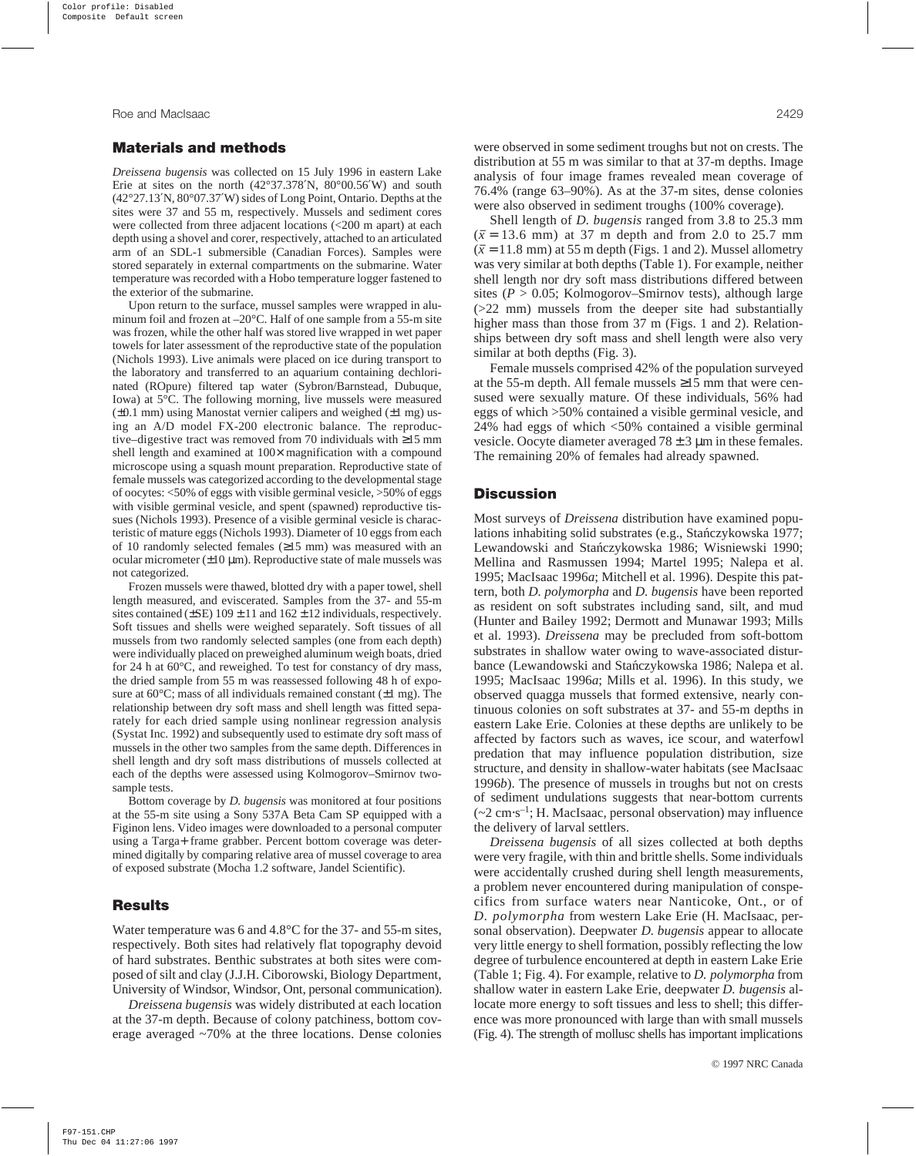#### **Materials and methods**

*Dreissena bugensis* was collected on 15 July 1996 in eastern Lake Erie at sites on the north  $(42^{\circ}37.378'N, 80^{\circ}00.56'W)$  and south (42°27.13′N, 80°07.37′W) sides of Long Point, Ontario. Depths at the sites were 37 and 55 m, respectively. Mussels and sediment cores were collected from three adjacent locations (<200 m apart) at each depth using a shovel and corer, respectively, attached to an articulated arm of an SDL-1 submersible (Canadian Forces). Samples were stored separately in external compartments on the submarine. Water temperature was recorded with a Hobo temperature logger fastened to the exterior of the submarine.

Upon return to the surface, mussel samples were wrapped in aluminum foil and frozen at –20°C. Half of one sample from a 55-m site was frozen, while the other half was stored live wrapped in wet paper towels for later assessment of the reproductive state of the population (Nichols 1993). Live animals were placed on ice during transport to the laboratory and transferred to an aquarium containing dechlorinated (ROpure) filtered tap water (Sybron/Barnstead, Dubuque, Iowa) at 5°C. The following morning, live mussels were measured  $(\pm 0.1 \text{ mm})$  using Manostat vernier calipers and weighed  $(\pm 1 \text{ mg})$  using an A/D model FX-200 electronic balance. The reproductive–digestive tract was removed from 70 individuals with ≥15 mm shell length and examined at  $100\times$  magnification with a compound microscope using a squash mount preparation. Reproductive state of female mussels was categorized according to the developmental stage of oocytes: <50% of eggs with visible germinal vesicle, >50% of eggs with visible germinal vesicle, and spent (spawned) reproductive tissues (Nichols 1993). Presence of a visible germinal vesicle is characteristic of mature eggs (Nichols 1993). Diameter of 10 eggs from each of 10 randomly selected females (≥15 mm) was measured with an ocular micrometer  $(\pm 10 \mu m)$ . Reproductive state of male mussels was not categorized.

Frozen mussels were thawed, blotted dry with a paper towel, shell length measured, and eviscerated. Samples from the 37- and 55-m sites contained ( $\pm$ SE) 109  $\pm$  11 and 162  $\pm$  12 individuals, respectively. Soft tissues and shells were weighed separately. Soft tissues of all mussels from two randomly selected samples (one from each depth) were individually placed on preweighed aluminum weigh boats, dried for 24 h at 60°C, and reweighed. To test for constancy of dry mass, the dried sample from 55 m was reassessed following 48 h of exposure at  $60^{\circ}$ C; mass of all individuals remained constant ( $\pm 1$  mg). The relationship between dry soft mass and shell length was fitted separately for each dried sample using nonlinear regression analysis (Systat Inc. 1992) and subsequently used to estimate dry soft mass of mussels in the other two samples from the same depth. Differences in shell length and dry soft mass distributions of mussels collected at each of the depths were assessed using Kolmogorov–Smirnov twosample tests.

Bottom coverage by *D. bugensis* was monitored at four positions at the 55-m site using a Sony 537A Beta Cam SP equipped with a Figinon lens. Video images were downloaded to a personal computer using a Targa+ frame grabber. Percent bottom coverage was determined digitally by comparing relative area of mussel coverage to area of exposed substrate (Mocha 1.2 software, Jandel Scientific).

#### **Results**

Water temperature was 6 and 4.8°C for the 37- and 55-m sites, respectively. Both sites had relatively flat topography devoid of hard substrates. Benthic substrates at both sites were composed of silt and clay (J.J.H. Ciborowski, Biology Department, University of Windsor, Windsor, Ont, personal communication).

*Dreissena bugensis* was widely distributed at each location at the 37-m depth. Because of colony patchiness, bottom coverage averaged ~70% at the three locations. Dense colonies

were observed in some sediment troughs but not on crests. The distribution at 55 m was similar to that at 37-m depths. Image analysis of four image frames revealed mean coverage of 76.4% (range 63–90%). As at the 37-m sites, dense colonies were also observed in sediment troughs (100% coverage).

Shell length of *D. bugensis* ranged from 3.8 to 25.3 mm  $(\bar{x} = 13.6 \text{ mm})$  at 37 m depth and from 2.0 to 25.7 mm  $(\bar{x} = 11.8 \text{ mm})$  at 55 m depth (Figs. 1 and 2). Mussel allometry was very similar at both depths (Table 1). For example, neither shell length nor dry soft mass distributions differed between sites ( $P > 0.05$ ; Kolmogorov–Smirnov tests), although large  $(>=22$  mm) mussels from the deeper site had substantially higher mass than those from 37 m (Figs. 1 and 2). Relationships between dry soft mass and shell length were also very similar at both depths (Fig. 3).

Female mussels comprised 42% of the population surveyed at the 55-m depth. All female mussels ≥15 mm that were censused were sexually mature. Of these individuals, 56% had eggs of which >50% contained a visible germinal vesicle, and 24% had eggs of which <50% contained a visible germinal vesicle. Oocyte diameter averaged  $78 \pm 3$  µm in these females. The remaining 20% of females had already spawned.

## **Discussion**

Most surveys of *Dreissena* distribution have examined populations inhabiting solid substrates (e.g., Stanczykowska 1977; Lewandowski and Stan´czykowska 1986; Wisniewski 1990; Mellina and Rasmussen 1994; Martel 1995; Nalepa et al. 1995; MacIsaac 1996*a*; Mitchell et al. 1996). Despite this pattern, both *D. polymorpha* and *D. bugensis* have been reported as resident on soft substrates including sand, silt, and mud (Hunter and Bailey 1992; Dermott and Munawar 1993; Mills et al. 1993). *Dreissena* may be precluded from soft-bottom substrates in shallow water owing to wave-associated disturbance (Lewandowski and Stańczykowska 1986; Nalepa et al. 1995; MacIsaac 1996*a*; Mills et al. 1996). In this study, we observed quagga mussels that formed extensive, nearly continuous colonies on soft substrates at 37- and 55-m depths in eastern Lake Erie. Colonies at these depths are unlikely to be affected by factors such as waves, ice scour, and waterfowl predation that may influence population distribution, size structure, and density in shallow-water habitats (see MacIsaac 1996*b*). The presence of mussels in troughs but not on crests of sediment undulations suggests that near-bottom currents (~2 cm⋅s–1; H. MacIsaac, personal observation) may influence the delivery of larval settlers.

*Dreissena bugensis* of all sizes collected at both depths were very fragile, with thin and brittle shells. Some individuals were accidentally crushed during shell length measurements, a problem never encountered during manipulation of conspecifics from surface waters near Nanticoke, Ont., or of *D. polymorpha* from western Lake Erie (H. MacIsaac, personal observation). Deepwater *D. bugensis* appear to allocate very little energy to shell formation, possibly reflecting the low degree of turbulence encountered at depth in eastern Lake Erie (Table 1; Fig. 4). For example, relative to *D. polymorpha* from shallow water in eastern Lake Erie, deepwater *D. bugensis* allocate more energy to soft tissues and less to shell; this difference was more pronounced with large than with small mussels (Fig. 4). The strength of mollusc shells has important implications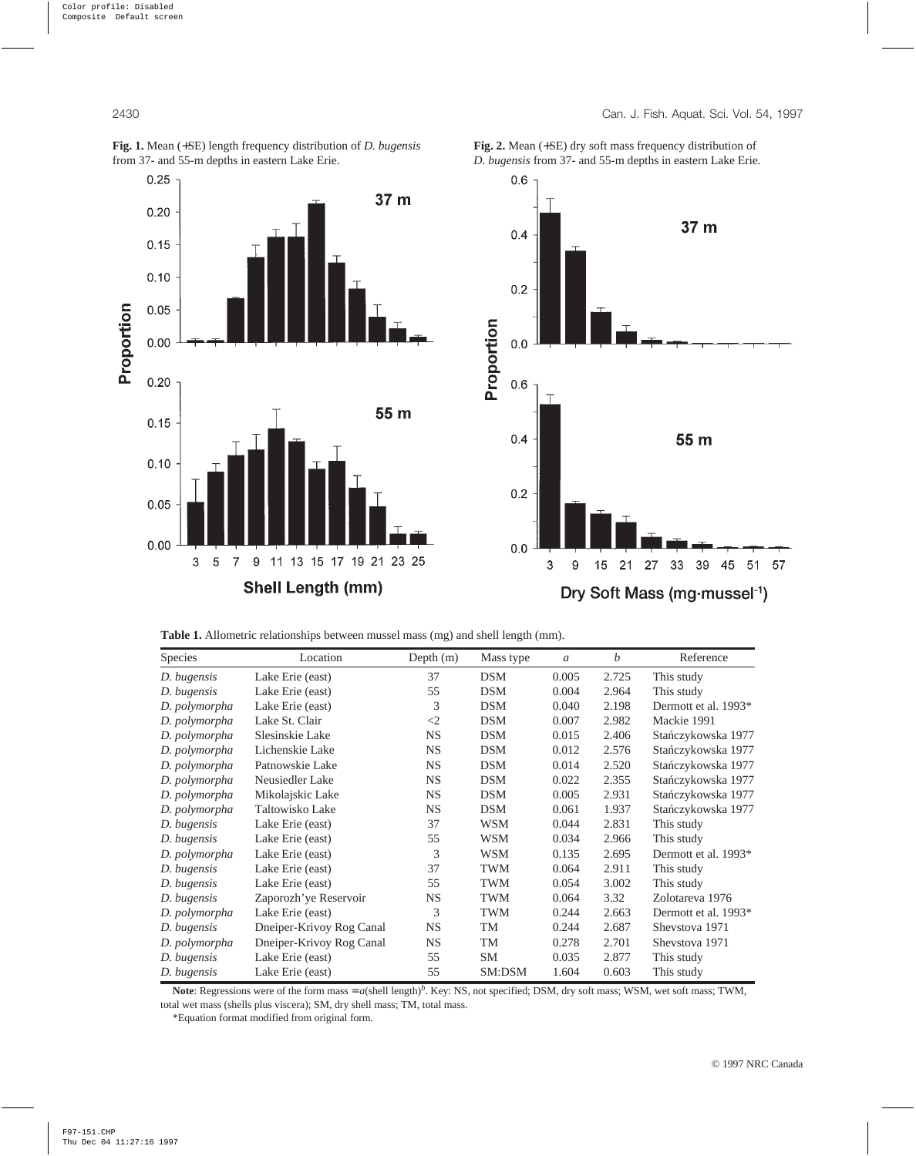

**Fig. 1.** Mean (+SE) length frequency distribution of *D. bugensis* from 37- and 55-m depths in eastern Lake Erie.

**Fig. 2.** Mean (+SE) dry soft mass frequency distribution of *D. bugensis* from 37- and 55-m depths in eastern Lake Erie.

**Table 1.** Allometric relationships between mussel mass (mg) and shell length (mm).

| Species       | Location                 | Depth (m) | Mass type  | $\mathfrak{a}$ | b     | Reference            |
|---------------|--------------------------|-----------|------------|----------------|-------|----------------------|
| D. bugensis   | Lake Erie (east)         | 37        | <b>DSM</b> | 0.005          | 2.725 | This study           |
| D. bugensis   | Lake Erie (east)         | 55        | <b>DSM</b> | 0.004          | 2.964 | This study           |
| D. polymorpha | Lake Erie (east)         | 3         | <b>DSM</b> | 0.040          | 2.198 | Dermott et al. 1993* |
| D. polymorpha | Lake St. Clair           | $\leq$ 2  | <b>DSM</b> | 0.007          | 2.982 | Mackie 1991          |
| D. polymorpha | Slesinskie Lake          | <b>NS</b> | <b>DSM</b> | 0.015          | 2.406 | Stańczykowska 1977   |
| D. polymorpha | Lichenskie Lake          | <b>NS</b> | <b>DSM</b> | 0.012          | 2.576 | Stańczykowska 1977   |
| D. polymorpha | Patnowskie Lake          | <b>NS</b> | <b>DSM</b> | 0.014          | 2.520 | Stańczykowska 1977   |
| D. polymorpha | Neusiedler Lake          | <b>NS</b> | <b>DSM</b> | 0.022          | 2.355 | Stańczykowska 1977   |
| D. polymorpha | Mikolajskic Lake         | <b>NS</b> | <b>DSM</b> | 0.005          | 2.931 | Stańczykowska 1977   |
| D. polymorpha | Taltowisko Lake          | <b>NS</b> | <b>DSM</b> | 0.061          | 1.937 | Stańczykowska 1977   |
| D. bugensis   | Lake Erie (east)         | 37        | <b>WSM</b> | 0.044          | 2.831 | This study           |
| D. bugensis   | Lake Erie (east)         | 55        | <b>WSM</b> | 0.034          | 2.966 | This study           |
| D. polymorpha | Lake Erie (east)         | 3         | <b>WSM</b> | 0.135          | 2.695 | Dermott et al. 1993* |
| D. bugensis   | Lake Erie (east)         | 37        | <b>TWM</b> | 0.064          | 2.911 | This study           |
| D. bugensis   | Lake Erie (east)         | 55        | <b>TWM</b> | 0.054          | 3.002 | This study           |
| D. bugensis   | Zaporozh' ye Reservoir   | <b>NS</b> | <b>TWM</b> | 0.064          | 3.32  | Zolotareva 1976      |
| D. polymorpha | Lake Erie (east)         | 3         | <b>TWM</b> | 0.244          | 2.663 | Dermott et al. 1993* |
| D. bugensis   | Dneiper-Krivoy Rog Canal | <b>NS</b> | TM         | 0.244          | 2.687 | Shevstova 1971       |
| D. polymorpha | Dneiper-Krivoy Rog Canal | <b>NS</b> | TM         | 0.278          | 2.701 | Shevstova 1971       |
| D. bugensis   | Lake Erie (east)         | 55        | <b>SM</b>  | 0.035          | 2.877 | This study           |
| D. bugensis   | Lake Erie (east)         | 55        | SM:DSM     | 1.604          | 0.603 | This study           |

Note: Regressions were of the form mass = *a*(shell length)<sup>*b*</sup>. Key: NS, not specified; DSM, dry soft mass; WSM, wet soft mass; TWM, total wet mass (shells plus viscera); SM, dry shell mass; TM, total mass.

\*Equation format modified from original form.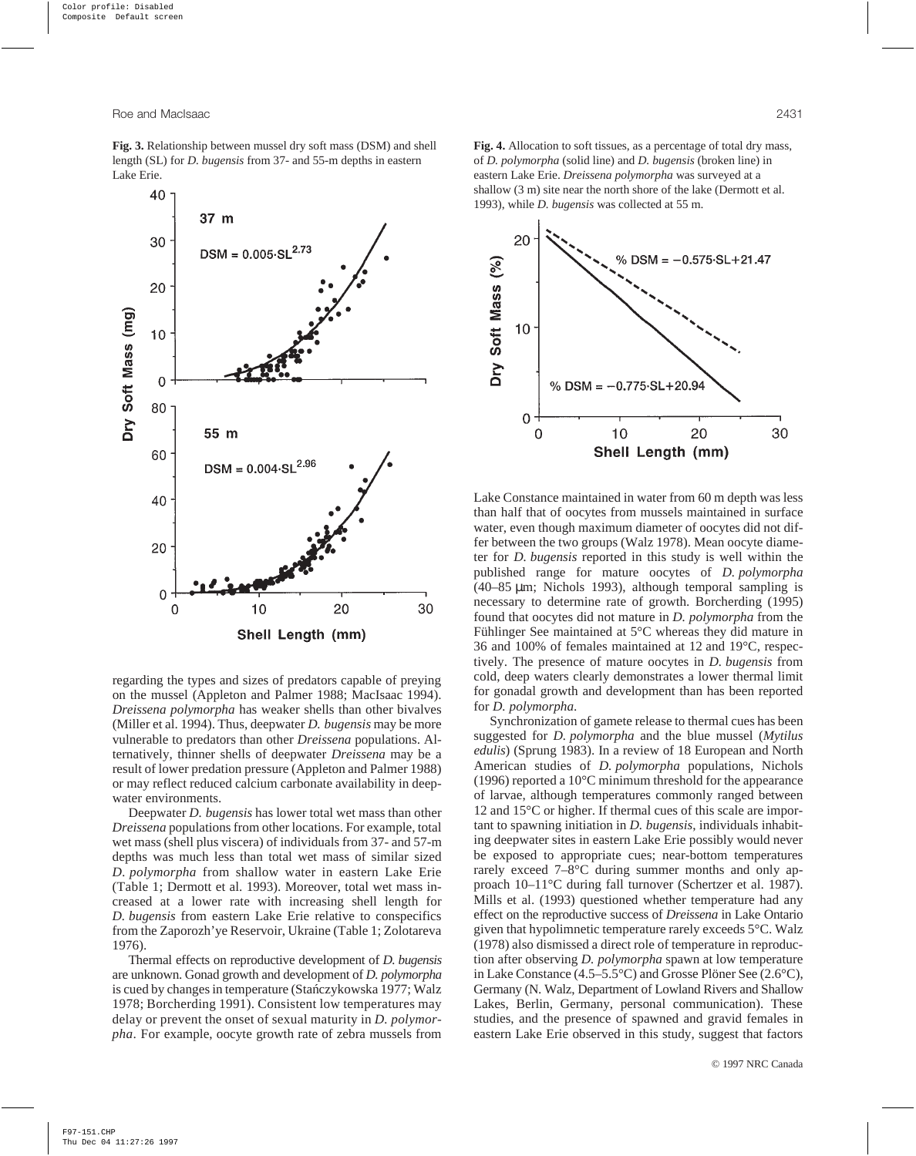

regarding the types and sizes of predators capable of preying on the mussel (Appleton and Palmer 1988; MacIsaac 1994). *Dreissena polymorpha* has weaker shells than other bivalves (Miller et al. 1994). Thus, deepwater *D. bugensis* may be more vulnerable to predators than other *Dreissena* populations. Alternatively, thinner shells of deepwater *Dreissena* may be a result of lower predation pressure (Appleton and Palmer 1988) or may reflect reduced calcium carbonate availability in deepwater environments.

Deepwater *D. bugensis* has lower total wet mass than other *Dreissena* populations from other locations. For example, total wet mass (shell plus viscera) of individuals from 37- and 57-m depths was much less than total wet mass of similar sized *D. polymorpha* from shallow water in eastern Lake Erie (Table 1; Dermott et al. 1993). Moreover, total wet mass increased at a lower rate with increasing shell length for *D. bugensis* from eastern Lake Erie relative to conspecifics from the Zaporozh'ye Reservoir, Ukraine (Table 1; Zolotareva 1976).

Thermal effects on reproductive development of *D. bugensis* are unknown. Gonad growth and development of *D. polymorpha* is cued by changes in temperature (Stanczykowska 1977; Walz 1978; Borcherding 1991). Consistent low temperatures may delay or prevent the onset of sexual maturity in *D. polymorpha*. For example, oocyte growth rate of zebra mussels from

**Fig. 4.** Allocation to soft tissues, as a percentage of total dry mass, of *D. polymorpha* (solid line) and *D. bugensis* (broken line) in eastern Lake Erie. *Dreissena polymorpha* was surveyed at a shallow (3 m) site near the north shore of the lake (Dermott et al. 1993), while *D. bugensis* was collected at 55 m.



Lake Constance maintained in water from 60 m depth was less than half that of oocytes from mussels maintained in surface water, even though maximum diameter of oocytes did not differ between the two groups (Walz 1978). Mean oocyte diameter for *D. bugensis* reported in this study is well within the published range for mature oocytes of *D. polymorpha* (40–85 µm; Nichols 1993), although temporal sampling is necessary to determine rate of growth. Borcherding (1995) found that oocytes did not mature in *D. polymorpha* from the Fühlinger See maintained at 5°C whereas they did mature in 36 and 100% of females maintained at 12 and 19°C, respectively. The presence of mature oocytes in *D. bugensis* from cold, deep waters clearly demonstrates a lower thermal limit for gonadal growth and development than has been reported for *D. polymorpha*.

Synchronization of gamete release to thermal cues has been suggested for *D. polymorpha* and the blue mussel (*Mytilus edulis*) (Sprung 1983). In a review of 18 European and North American studies of *D. polymorpha* populations, Nichols (1996) reported a 10°C minimum threshold for the appearance of larvae, although temperatures commonly ranged between 12 and 15°C or higher. If thermal cues of this scale are important to spawning initiation in *D. bugensis*, individuals inhabiting deepwater sites in eastern Lake Erie possibly would never be exposed to appropriate cues; near-bottom temperatures rarely exceed 7–8°C during summer months and only approach 10–11°C during fall turnover (Schertzer et al. 1987). Mills et al. (1993) questioned whether temperature had any effect on the reproductive success of *Dreissena* in Lake Ontario given that hypolimnetic temperature rarely exceeds 5°C. Walz (1978) also dismissed a direct role of temperature in reproduction after observing *D. polymorpha* spawn at low temperature in Lake Constance (4.5–5.5°C) and Grosse Plöner See (2.6°C), Germany (N. Walz, Department of Lowland Rivers and Shallow Lakes, Berlin, Germany, personal communication). These studies, and the presence of spawned and gravid females in eastern Lake Erie observed in this study, suggest that factors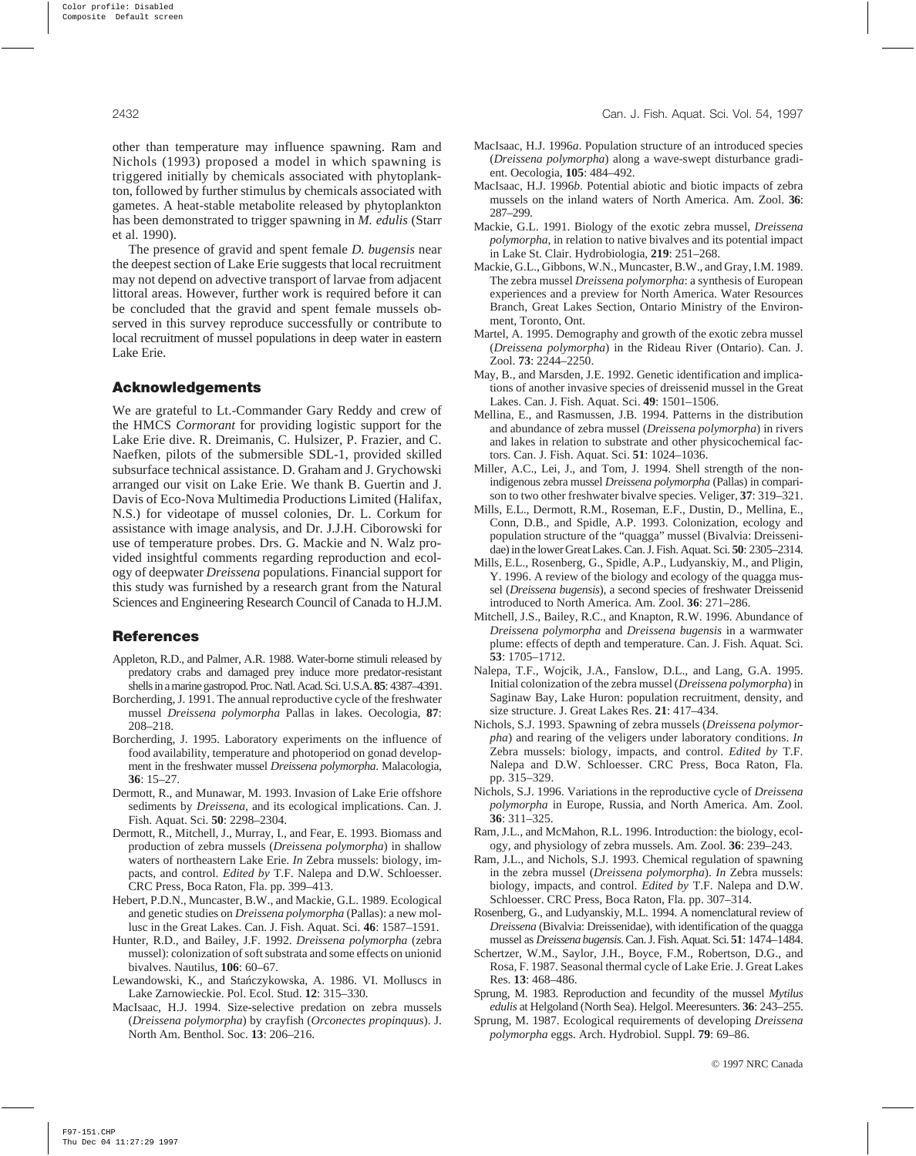other than temperature may influence spawning. Ram and Nichols (1993) proposed a model in which spawning is triggered initially by chemicals associated with phytoplankton, followed by further stimulus by chemicals associated with gametes. A heat-stable metabolite released by phytoplankton has been demonstrated to trigger spawning in *M. edulis* (Starr et al. 1990).

The presence of gravid and spent female *D. bugensis* near the deepest section of Lake Erie suggests that local recruitment may not depend on advective transport of larvae from adjacent littoral areas. However, further work is required before it can be concluded that the gravid and spent female mussels observed in this survey reproduce successfully or contribute to local recruitment of mussel populations in deep water in eastern Lake Erie.

#### **Acknowledgements**

We are grateful to Lt.-Commander Gary Reddy and crew of the HMCS *Cormorant* for providing logistic support for the Lake Erie dive. R. Dreimanis, C. Hulsizer, P. Frazier, and C. Naefken, pilots of the submersible SDL-1, provided skilled subsurface technical assistance. D. Graham and J. Grychowski arranged our visit on Lake Erie. We thank B. Guertin and J. Davis of Eco-Nova Multimedia Productions Limited (Halifax, N.S.) for videotape of mussel colonies, Dr. L. Corkum for assistance with image analysis, and Dr. J.J.H. Ciborowski for use of temperature probes. Drs. G. Mackie and N. Walz provided insightful comments regarding reproduction and ecology of deepwater *Dreissena* populations. Financial support for this study was furnished by a research grant from the Natural Sciences and Engineering Research Council of Canada to H.J.M.

## **References**

- Appleton, R.D., and Palmer, A.R. 1988. Water-borne stimuli released by predatory crabs and damaged prey induce more predator-resistant shellsin amarinegastropod.Proc.Natl.Acad.Sci.U.S.A.**85**: 4387–4391.
- Borcherding, J. 1991. The annual reproductive cycle of the freshwater mussel *Dreissena polymorpha* Pallas in lakes. Oecologia, **87**: 208–218.
- Borcherding, J. 1995. Laboratory experiments on the influence of food availability, temperature and photoperiod on gonad development in the freshwater mussel *Dreissena polymorpha*. Malacologia, **36**: 15–27.
- Dermott, R., and Munawar, M. 1993. Invasion of Lake Erie offshore sediments by *Dreissena*, and its ecological implications. Can. J. Fish. Aquat. Sci. **50**: 2298–2304.
- Dermott, R., Mitchell, J., Murray, I., and Fear, E. 1993. Biomass and production of zebra mussels (*Dreissena polymorpha*) in shallow waters of northeastern Lake Erie. *In* Zebra mussels: biology, impacts, and control. *Edited by* T.F. Nalepa and D.W. Schloesser. CRC Press, Boca Raton, Fla. pp. 399–413.
- Hebert, P.D.N., Muncaster, B.W., and Mackie, G.L. 1989. Ecological and genetic studies on *Dreissena polymorpha* (Pallas): a new mollusc in the Great Lakes. Can. J. Fish. Aquat. Sci. **46**: 1587–1591.
- Hunter, R.D., and Bailey, J.F. 1992. *Dreissena polymorpha* (zebra mussel): colonization of soft substrata and some effects on unionid bivalves. Nautilus, **106**: 60–67.
- Lewandowski, K., and Stańczykowska, A. 1986. VI. Molluscs in Lake Zarnowieckie. Pol. Ecol. Stud. **12**: 315–330.
- MacIsaac, H.J. 1994. Size-selective predation on zebra mussels (*Dreissena polymorpha*) by crayfish (*Orconectes propinquus*). J. North Am. Benthol. Soc. **13**: 206–216.
- MacIsaac, H.J. 1996*a*. Population structure of an introduced species (*Dreissena polymorpha*) along a wave-swept disturbance gradient. Oecologia, **105**: 484–492.
- MacIsaac, H.J. 1996*b*. Potential abiotic and biotic impacts of zebra mussels on the inland waters of North America. Am. Zool. **36**: 287–299.
- Mackie, G.L. 1991. Biology of the exotic zebra mussel, *Dreissena polymorpha*, in relation to native bivalves and its potential impact in Lake St. Clair. Hydrobiologia, **219**: 251–268.
- Mackie, G.L., Gibbons, W.N., Muncaster, B.W., and Gray, I.M. 1989. The zebra mussel *Dreissena polymorpha*: a synthesis of European experiences and a preview for North America. Water Resources Branch, Great Lakes Section, Ontario Ministry of the Environment, Toronto, Ont.
- Martel, A. 1995. Demography and growth of the exotic zebra mussel (*Dreissena polymorpha*) in the Rideau River (Ontario). Can. J. Zool. **73**: 2244–2250.
- May, B., and Marsden, J.E. 1992. Genetic identification and implications of another invasive species of dreissenid mussel in the Great Lakes. Can. J. Fish. Aquat. Sci. **49**: 1501–1506.
- Mellina, E., and Rasmussen, J.B. 1994. Patterns in the distribution and abundance of zebra mussel (*Dreissena polymorpha*) in rivers and lakes in relation to substrate and other physicochemical factors. Can. J. Fish. Aquat. Sci. **51**: 1024–1036.
- Miller, A.C., Lei, J., and Tom, J. 1994. Shell strength of the nonindigenous zebra mussel *Dreissena polymorpha* (Pallas) in comparison to two other freshwater bivalve species. Veliger, **37**: 319–321.
- Mills, E.L., Dermott, R.M., Roseman, E.F., Dustin, D., Mellina, E., Conn, D.B., and Spidle, A.P. 1993. Colonization, ecology and population structure of the "quagga" mussel (Bivalvia: Dreissenidae) in the lower Great Lakes. Can. J. Fish. Aquat. Sci. **50**: 2305–2314.
- Mills, E.L., Rosenberg, G., Spidle, A.P., Ludyanskiy, M., and Pligin, Y. 1996. A review of the biology and ecology of the quagga mussel (*Dreissena bugensis*), a second species of freshwater Dreissenid introduced to North America. Am. Zool. **36**: 271–286.
- Mitchell, J.S., Bailey, R.C., and Knapton, R.W. 1996. Abundance of *Dreissena polymorpha* and *Dreissena bugensis* in a warmwater plume: effects of depth and temperature. Can. J. Fish. Aquat. Sci. **53**: 1705–1712.
- Nalepa, T.F., Wojcik, J.A., Fanslow, D.L., and Lang, G.A. 1995. Initial colonization of the zebra mussel (*Dreissena polymorpha*) in Saginaw Bay, Lake Huron: population recruitment, density, and size structure. J. Great Lakes Res. **21**: 417–434.
- Nichols, S.J. 1993. Spawning of zebra mussels (*Dreissena polymorpha*) and rearing of the veligers under laboratory conditions. *In* Zebra mussels: biology, impacts, and control. *Edited by* T.F. Nalepa and D.W. Schloesser. CRC Press, Boca Raton, Fla. pp. 315–329.
- Nichols, S.J. 1996. Variations in the reproductive cycle of *Dreissena polymorpha* in Europe, Russia, and North America. Am. Zool. **36**: 311–325.
- Ram, J.L., and McMahon, R.L. 1996. Introduction: the biology, ecology, and physiology of zebra mussels. Am. Zool. **36**: 239–243.
- Ram, J.L., and Nichols, S.J. 1993. Chemical regulation of spawning in the zebra mussel (*Dreissena polymorpha*). *In* Zebra mussels: biology, impacts, and control. *Edited by* T.F. Nalepa and D.W. Schloesser. CRC Press, Boca Raton, Fla. pp. 307–314.
- Rosenberg, G., and Ludyanskiy, M.L. 1994. A nomenclatural review of *Dreissena* (Bivalvia: Dreissenidae), with identification of the quagga mussel as *Dreissena bugensis*. Can. J. Fish. Aquat. Sci. **51**: 1474–1484.
- Schertzer, W.M., Saylor, J.H., Boyce, F.M., Robertson, D.G., and Rosa, F. 1987. Seasonal thermal cycle of Lake Erie. J. Great Lakes Res. **13**: 468–486.
- Sprung, M. 1983. Reproduction and fecundity of the mussel *Mytilus edulis* at Helgoland (North Sea). Helgol. Meeresunters. **36**: 243–255.
- Sprung, M. 1987. Ecological requirements of developing *Dreissena polymorpha* eggs. Arch. Hydrobiol. Suppl. **79**: 69–86.